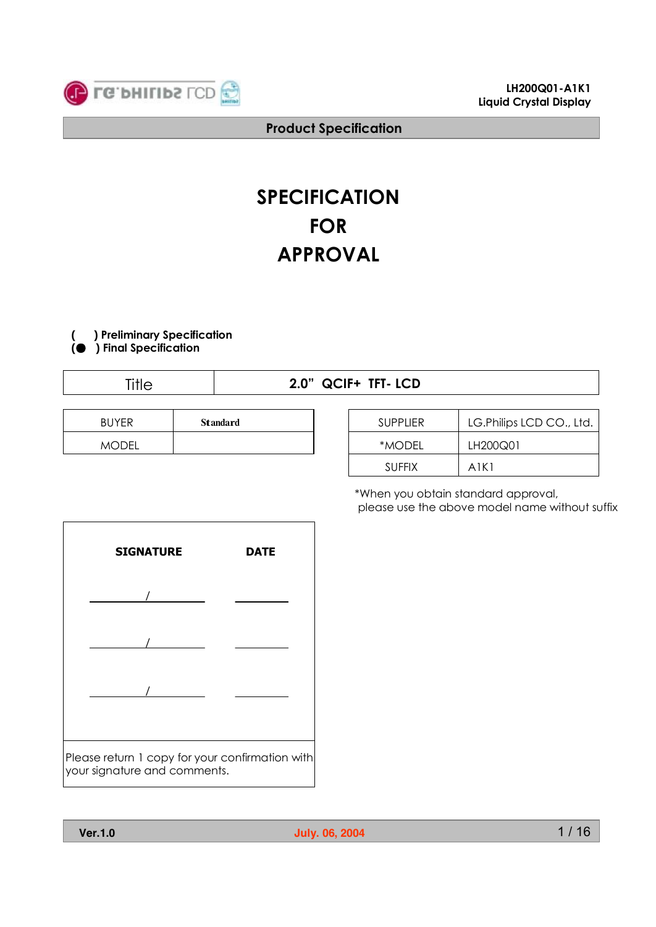

# **SPECIFICATION FOR APPROVAL**



**(● ) Final Specification**

Title **2.0" QCIF+ TFT- LCD**

| <b>BUYFR</b> | <b>Standard</b> |
|--------------|-----------------|
| MODFI        |                 |

| <b>SUPPLIER</b> | LG. Philips LCD CO., Ltd. |
|-----------------|---------------------------|
| *MODFI          | LH200Q01                  |
| <b>SUFFIX</b>   | A1K1                      |

\*When you obtain standard approval, please use the above model name without suffix

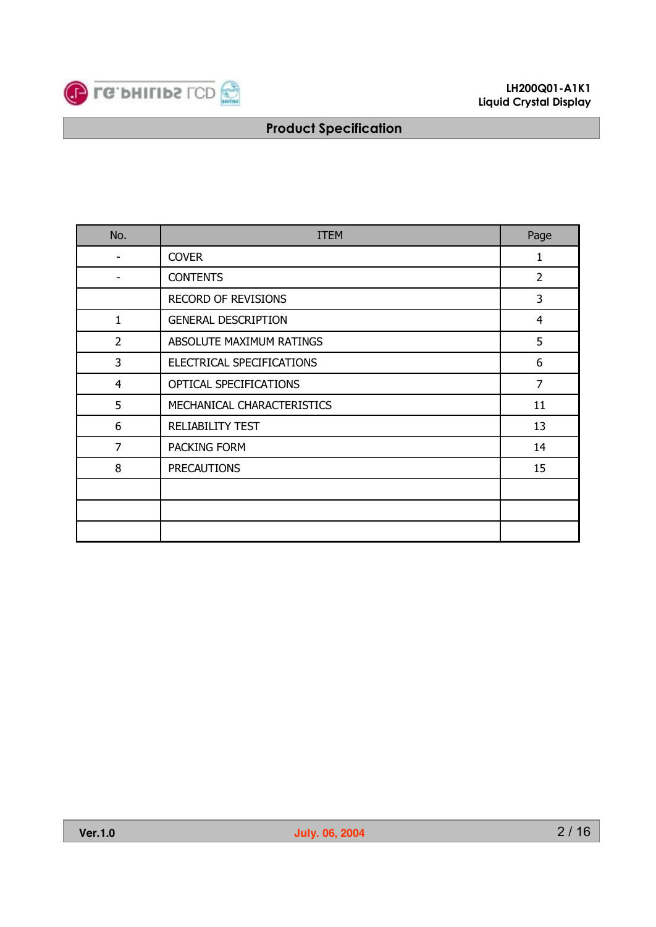

| No.            | <b>ITEM</b>                | Page           |
|----------------|----------------------------|----------------|
|                | <b>COVER</b>               | 1              |
|                | <b>CONTENTS</b>            | $\overline{2}$ |
|                | <b>RECORD OF REVISIONS</b> | 3              |
| $\mathbf{1}$   | <b>GENERAL DESCRIPTION</b> | $\overline{4}$ |
| $\overline{2}$ | ABSOLUTE MAXIMUM RATINGS   | 5              |
| 3              | ELECTRICAL SPECIFICATIONS  | 6              |
| $\overline{4}$ | OPTICAL SPECIFICATIONS     | $\overline{7}$ |
| 5              | MECHANICAL CHARACTERISTICS | 11             |
| 6              | RELIABILITY TEST           | 13             |
| $\overline{7}$ | PACKING FORM               | 14             |
| 8              | <b>PRECAUTIONS</b>         | 15             |
|                |                            |                |
|                |                            |                |
|                |                            |                |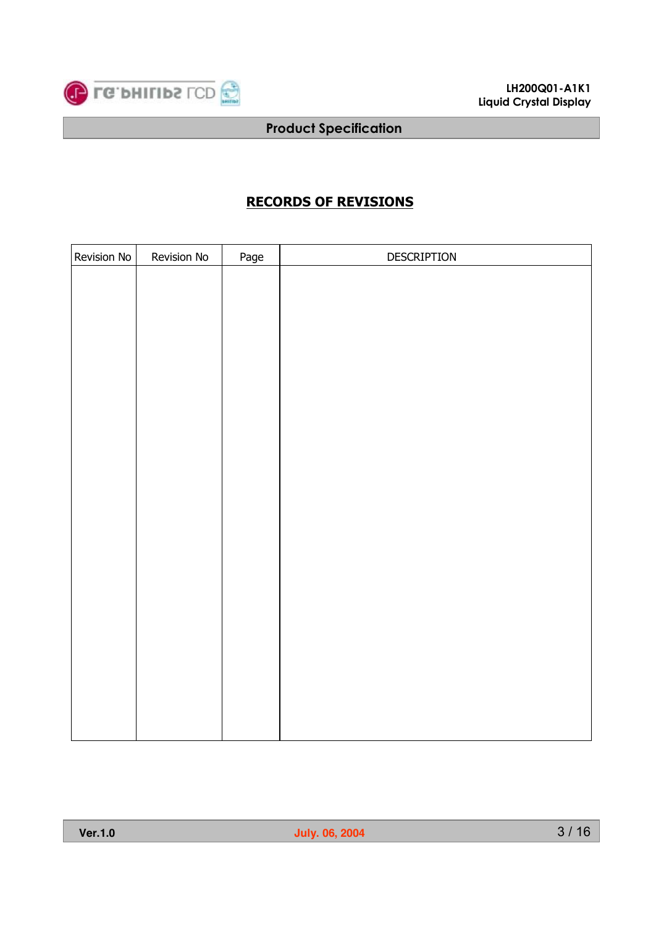

## **RECORDS OF REVISIONS**

| Revision No | Revision No | Page | DESCRIPTION |
|-------------|-------------|------|-------------|
|             |             |      |             |
|             |             |      |             |
|             |             |      |             |
|             |             |      |             |
|             |             |      |             |
|             |             |      |             |
|             |             |      |             |
|             |             |      |             |
|             |             |      |             |
|             |             |      |             |
|             |             |      |             |
|             |             |      |             |
|             |             |      |             |
|             |             |      |             |
|             |             |      |             |
|             |             |      |             |
|             |             |      |             |
|             |             |      |             |
|             |             |      |             |
|             |             |      |             |
|             |             |      |             |
|             |             |      |             |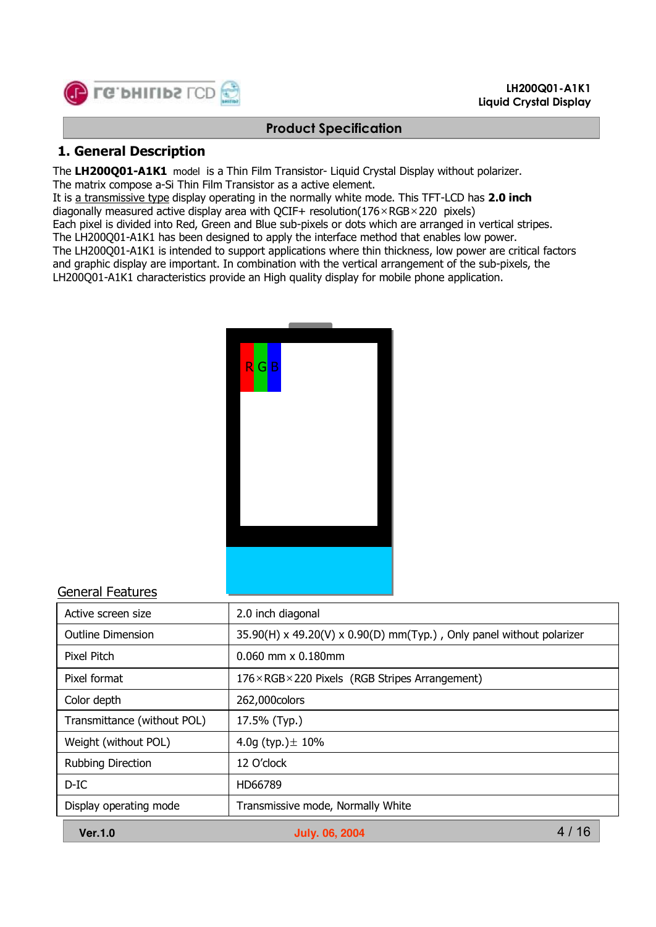

#### **LH200Q01-A1K1 Liquid Crystal Display**

#### **Product Specification**

#### **1. General Description**

The **LH200Q01-A1K1** model is a Thin Film Transistor- Liquid Crystal Display without polarizer.

The matrix compose a-Si Thin Film Transistor as a active element.

It is a transmissive type display operating in the normally white mode. This TFT-LCD has **2.0 inch** diagonally measured active display area with QCIF+ resolution( $176 \times RGB \times 220$  pixels)

Each pixel is divided into Red, Green and Blue sub-pixels or dots which are arranged in vertical stripes.

The LH200Q01-A1K1 has been designed to apply the interface method that enables low power.

The LH200Q01-A1K1 is intended to support applications where thin thickness, low power are critical factors and graphic display are important. In combination with the vertical arrangement of the sub-pixels, the LH200Q01-A1K1 characteristics provide an High quality display for mobile phone application.

| R G B |  |  |
|-------|--|--|
|       |  |  |
|       |  |  |
|       |  |  |
|       |  |  |
|       |  |  |
|       |  |  |
|       |  |  |
|       |  |  |

#### General Features

| Active screen size          | 2.0 inch diagonal                                                    |  |  |  |  |  |
|-----------------------------|----------------------------------------------------------------------|--|--|--|--|--|
| <b>Outline Dimension</b>    | 35.90(H) x 49.20(V) x 0.90(D) mm(Typ.), Only panel without polarizer |  |  |  |  |  |
| Pixel Pitch                 | $0.060$ mm $\times$ 0.180mm                                          |  |  |  |  |  |
| Pixel format                | $176 \times RGB \times 220$ Pixels (RGB Stripes Arrangement)         |  |  |  |  |  |
| Color depth                 | 262,000colors                                                        |  |  |  |  |  |
| Transmittance (without POL) | 17.5% (Typ.)                                                         |  |  |  |  |  |
| Weight (without POL)        | 4.0g (typ.) $\pm$ 10%                                                |  |  |  |  |  |
| <b>Rubbing Direction</b>    | 12 O'clock                                                           |  |  |  |  |  |
| $D$ -IC                     | HD66789                                                              |  |  |  |  |  |
| Display operating mode      | Transmissive mode, Normally White                                    |  |  |  |  |  |
| <b>Ver.1.0</b>              | 4 / 16<br><b>July. 06, 2004</b>                                      |  |  |  |  |  |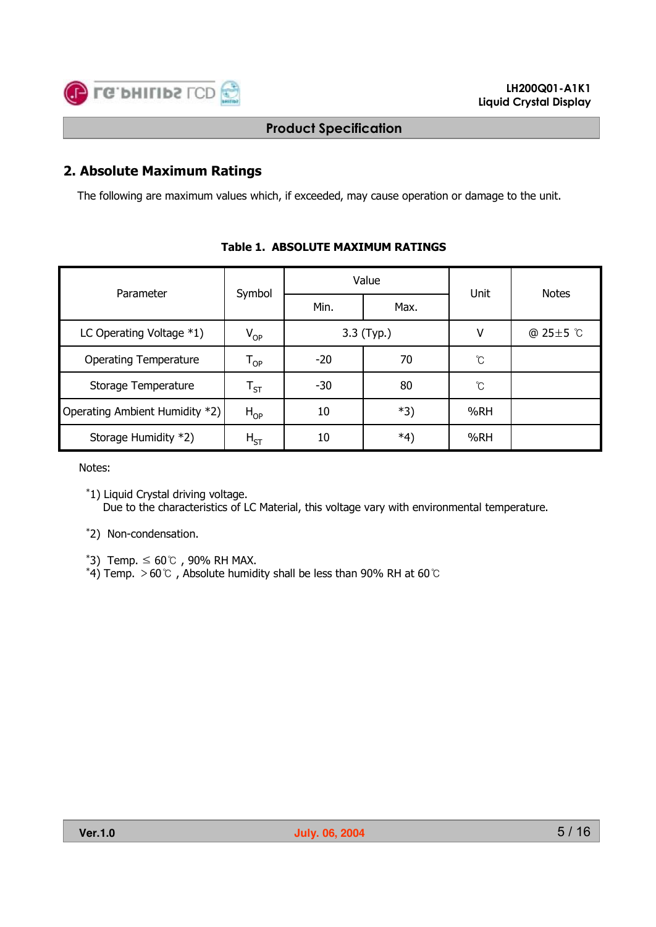

## **2. Absolute Maximum Ratings**

The following are maximum values which, if exceeded, may cause operation or damage to the unit.

| Parameter                      |                            |       | Value      | Unit            | <b>Notes</b>    |
|--------------------------------|----------------------------|-------|------------|-----------------|-----------------|
|                                | Symbol                     | Min.  | Max.       |                 |                 |
| LC Operating Voltage $*1$ )    | $V_{OP}$                   |       | 3.3 (Typ.) | ٧               | @ $25 \pm 5$ °C |
| <b>Operating Temperature</b>   | $\mathsf{T}_{\mathsf{OP}}$ | $-20$ | 70         | $\rm ^{\circ}C$ |                 |
| Storage Temperature            | $\mathsf{T}_{\mathsf{ST}}$ | $-30$ | 80         | °C              |                 |
| Operating Ambient Humidity *2) | $H_{OP}$                   | 10    | *3)        | %RH             |                 |
| Storage Humidity *2)           | $H_{ST}$                   | 10    | *4)        | %RH             |                 |

## **Table 1. ABSOLUTE MAXIMUM RATINGS**

Notes:

\*2) Non-condensation.

- 
- \*3) Temp. ≤ 60℃, 90% RH MAX.<br>\*4) Temp. >60℃, Absolute humidity shall be less than 90% RH at 60℃

<sup>\*1)</sup> Liquid Crystal driving voltage. Due to the characteristics of LC Material, this voltage vary with environmental temperature.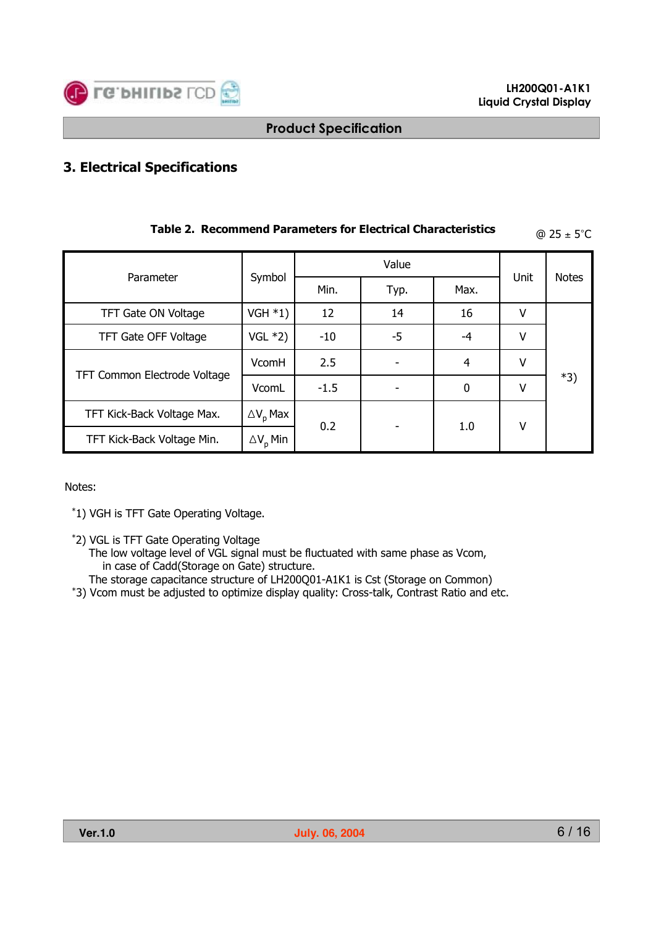

# **3. Electrical Specifications**

| Table 2. Recommend Parameters for Electrical Characteristics |                        |        |      |          |      | $@ 25 \pm 5^{\circ}C$ |
|--------------------------------------------------------------|------------------------|--------|------|----------|------|-----------------------|
|                                                              |                        |        |      |          |      |                       |
| Parameter                                                    | Symbol                 | Min.   | Typ. | Max.     | Unit | <b>Notes</b>          |
| TFT Gate ON Voltage                                          | VGH $*1)$              | 12     | 14   | 16       | v    |                       |
| TFT Gate OFF Voltage                                         | VGL $*2)$              | $-10$  | -5   | -4       | v    |                       |
| TFT Common Electrode Voltage                                 | VcomH                  | 2.5    |      | 4        | V    |                       |
|                                                              | VcomL                  | $-1.5$ |      | $\Omega$ | v    | *3)                   |
| TFT Kick-Back Voltage Max.                                   | $\Delta V_{\rm n}$ Max | 0.2    |      |          |      |                       |
| TFT Kick-Back Voltage Min.                                   | $\Delta V_p$ Min       |        |      | 1.0      | v    |                       |

#### Notes:

\*1) VGH is TFT Gate Operating Voltage.

- \*2) VGL is TFT Gate Operating Voltage
	- The low voltage level of VGL signal must be fluctuated with same phase as Vcom, in case of Cadd(Storage on Gate) structure.<br>The storage capacitance structure of LH200Q01-A1K1 is Cst (Storage on Common)
	-
- \*3) Vcom must be adjusted to optimize display quality: Cross-talk, Contrast Ratio and etc.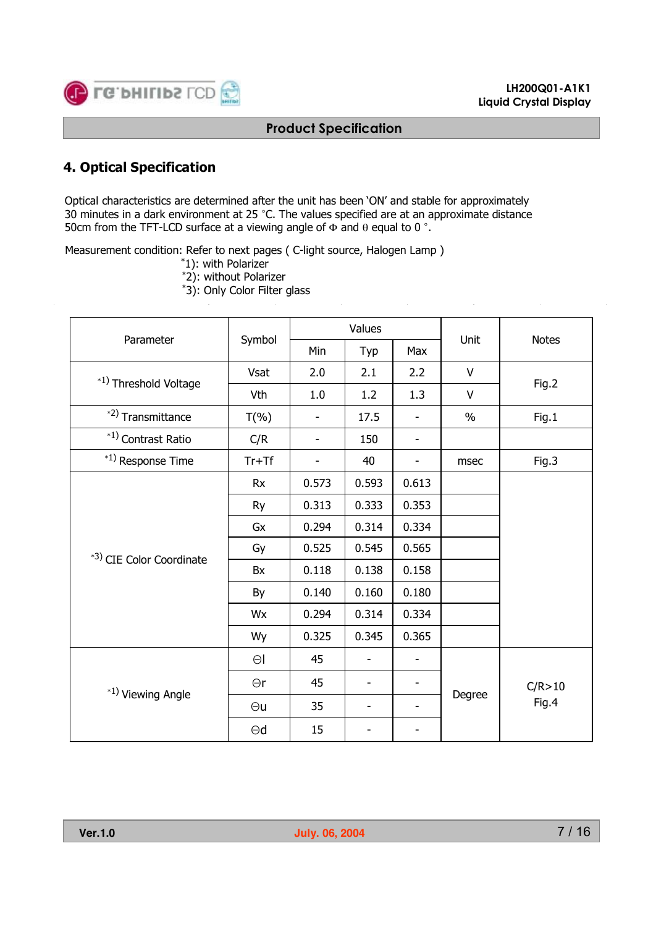

#### **LH200Q01-A1K1 Liquid Crystal Display**

#### **Product Specification**

## **4. Optical Specification**

Optical characteristics are determined after the unit has been 'ON' and stable for approximately 30 minutes in a dark environment at 25 °C. The values specified are at an approximate distance 50cm from the TFT-LCD surface at a viewing angle of  $\Phi$  and  $\theta$  equal to 0 °.

Measurement condition: Refer to next pages ( C-light source, Halogen Lamp )

- \*1): with Polarizer
- \*2): without Polarizer
- \*3): Only Color Filter glass

|                          |            | Values                   |       |                          | Unit          |              |  |
|--------------------------|------------|--------------------------|-------|--------------------------|---------------|--------------|--|
| Parameter                | Symbol     | Min                      | Typ   | Max                      |               | <b>Notes</b> |  |
| *1) Threshold Voltage    | Vsat       | 2.0                      | 2.1   | 2.2                      | $\vee$        | Fig.2        |  |
|                          | Vth        | 1.0                      | 1.2   | 1.3                      | $\vee$        |              |  |
| *2) Transmittance        | $T(\% )$   | $\overline{\phantom{0}}$ | 17.5  |                          | $\frac{0}{0}$ | Fig.1        |  |
| *1) Contrast Ratio       | C/R        | $\overline{\phantom{a}}$ | 150   |                          |               |              |  |
| *1) Response Time        | $Tr+Tf$    | $\overline{\phantom{a}}$ | 40    | $\overline{\phantom{a}}$ | msec          | Fig.3        |  |
|                          | <b>Rx</b>  | 0.573                    | 0.593 | 0.613                    |               |              |  |
|                          | Ry         | 0.313                    | 0.333 | 0.353                    |               |              |  |
| *3) CIE Color Coordinate | Gx         | 0.294                    | 0.314 | 0.334                    |               |              |  |
|                          | Gy         | 0.525                    | 0.545 | 0.565                    |               |              |  |
|                          | Bx         | 0.118                    | 0.138 | 0.158                    |               |              |  |
|                          | By         | 0.140                    | 0.160 | 0.180                    |               |              |  |
|                          | Wx         | 0.294                    | 0.314 | 0.334                    |               |              |  |
|                          | Wy         | 0.325                    | 0.345 | 0.365                    |               |              |  |
|                          | $\Theta$   | 45                       |       |                          |               |              |  |
| *1) Viewing Angle        | $\Theta$ r | 45                       |       |                          |               | C/R > 10     |  |
|                          | $\Theta$ u | 35                       |       |                          | Degree        | Fig.4        |  |
|                          | $\Theta$ d | 15                       |       |                          |               |              |  |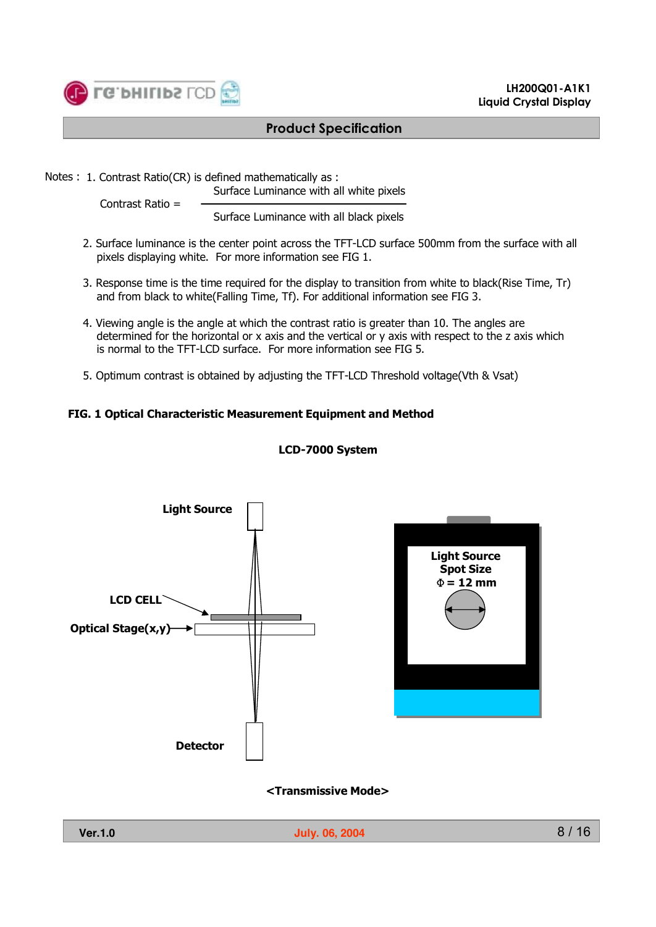

Notes : 1. Contrast Ratio(CR) is defined mathematically as :

Surface Luminance with all white pixels

Contrast Ratio =

Surface Luminance with all black pixels

- 2. Surface luminance is the center point across the TFT-LCD surface 500mm from the surface with all pixels displaying white. For more information see FIG 1.
- 3. Response time is the time required for the display to transition from white to black(Rise Time, Tr) and from black to white(Falling Time, Tf). For additional information see FIG 3.
- 4. Viewing angle is the angle at which the contrast ratio is greater than 10. The angles are determined for the horizontal or x axis and the vertical or y axis with respect to the z axis which is normal to the TFT-LCD surface. For more information see FIG 5.
- 5. Optimum contrast is obtained by adjusting the TFT-LCD Threshold voltage(Vth & Vsat)

#### **FIG. 1 Optical Characteristic Measurement Equipment and Method**



#### **LCD-7000 System**

**<Transmissive Mode>**

**LH200Q01-A1K1 Liquid Crystal Display**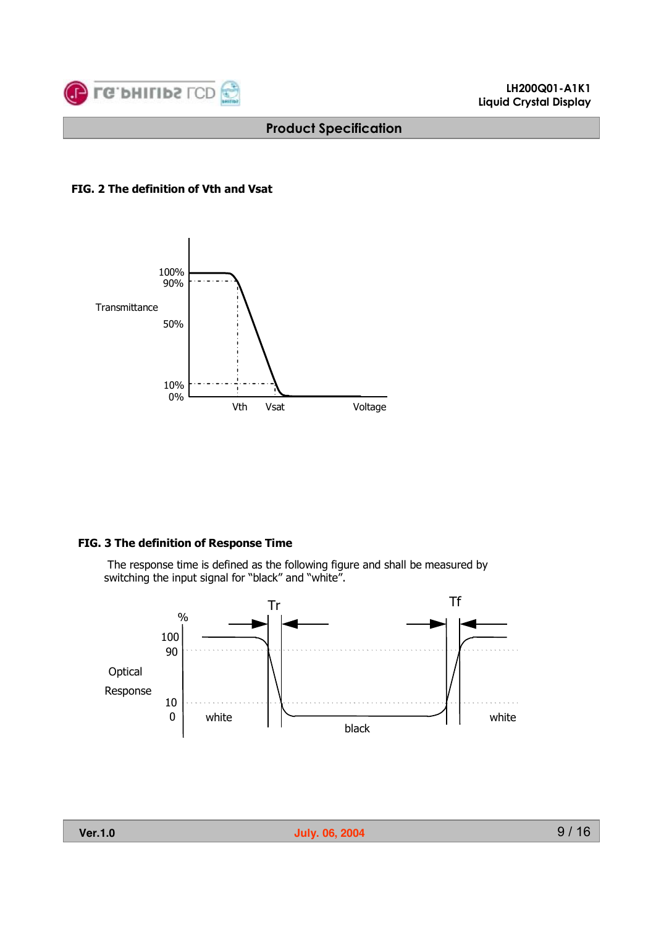

#### **FIG. 2 The definition of Vth and Vsat**



#### **FIG. 3 The definition of Response Time**

The response time is defined as the following figure and shall be measured by switching the input signal for "black" and "white".

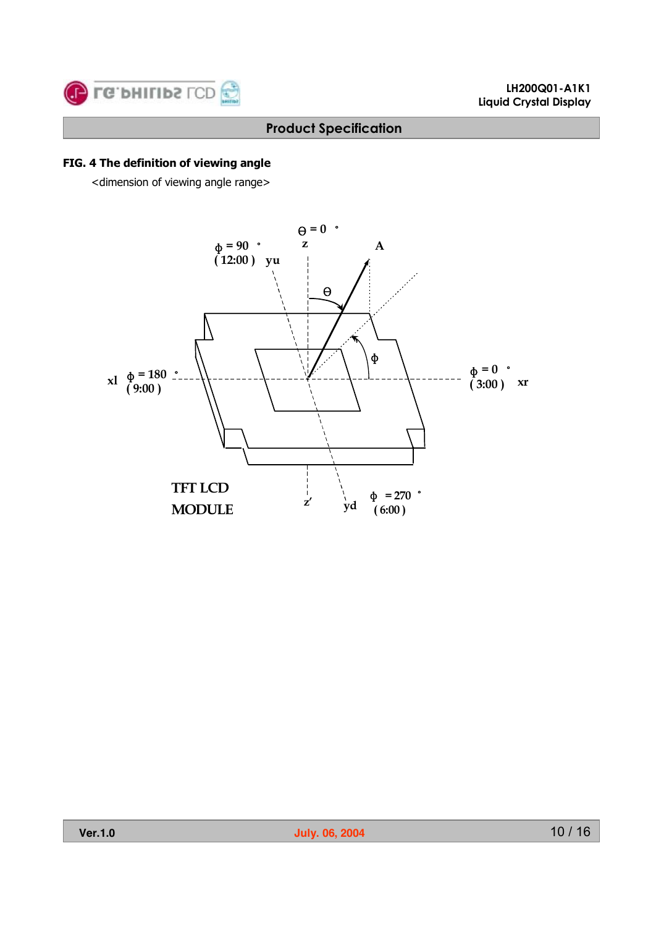

## **FIG. 4 The definition of viewing angle**

<dimension of viewing angle range>

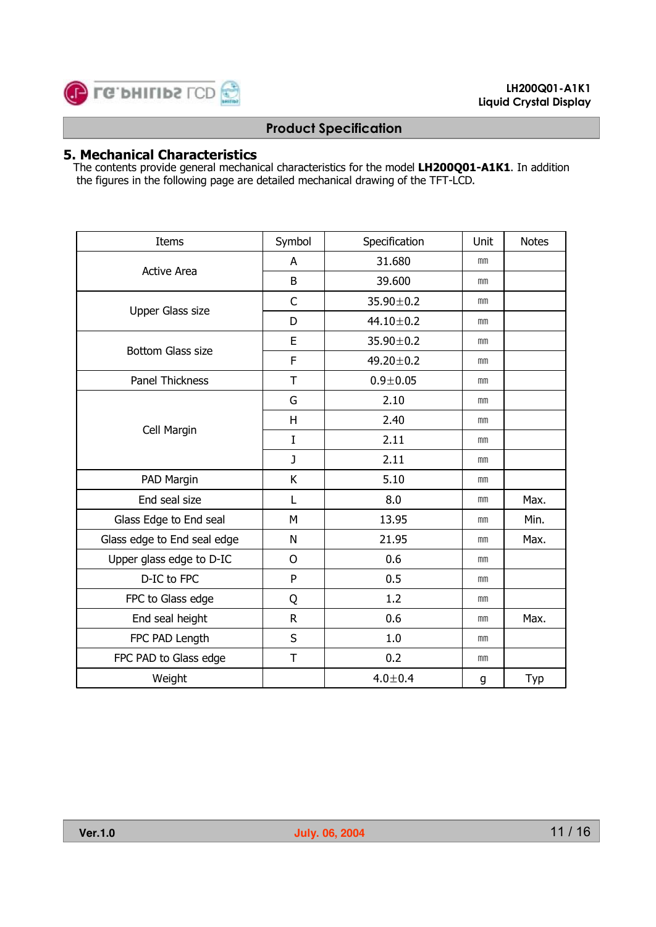

## **5. Mechanical Characteristics**

The contents provide general mechanical characteristics for the model **LH200Q01-A1K1**. In addition the figures in the following page are detailed mechanical drawing of the TFT-LCD.

| Items                       | Symbol       | Specification   | Unit | <b>Notes</b> |
|-----------------------------|--------------|-----------------|------|--------------|
|                             | A            | 31.680          | mm   |              |
| <b>Active Area</b>          | B            | 39.600          | mm   |              |
|                             | C            | $35.90 \pm 0.2$ | mm   |              |
| Upper Glass size            | D            | $44.10 \pm 0.2$ | mm   |              |
| <b>Bottom Glass size</b>    | E            | $35.90 \pm 0.2$ | mm   |              |
|                             | F            | $49.20 \pm 0.2$ | mm   |              |
| <b>Panel Thickness</b>      | T            | $0.9 + 0.05$    | mm   |              |
|                             | G            | 2.10            | mm   |              |
|                             | H            | 2.40            | mm   |              |
| Cell Margin                 | $\mathbf I$  | 2.11            | mm   |              |
|                             | $\mathbf{J}$ | 2.11            | mm   |              |
| PAD Margin                  | К            | 5.10            | mm   |              |
| End seal size               | L            | 8.0             | mm   | Max.         |
| Glass Edge to End seal      | M            | 13.95           | mm   | Min.         |
| Glass edge to End seal edge | N            | 21.95           | mm   | Max.         |
| Upper glass edge to D-IC    | $\mathsf{O}$ | 0.6             | mm   |              |
| D-IC to FPC                 | P            | 0.5             | mm   |              |
| FPC to Glass edge           | Q            | 1.2             | mm   |              |
| End seal height             | $\mathsf{R}$ | 0.6             | mm   | Max.         |
| FPC PAD Length              | S            | 1.0             | mm   |              |
| FPC PAD to Glass edge       | T            | 0.2             | mm   |              |
| Weight                      |              | $4.0 + 0.4$     | g    | Typ          |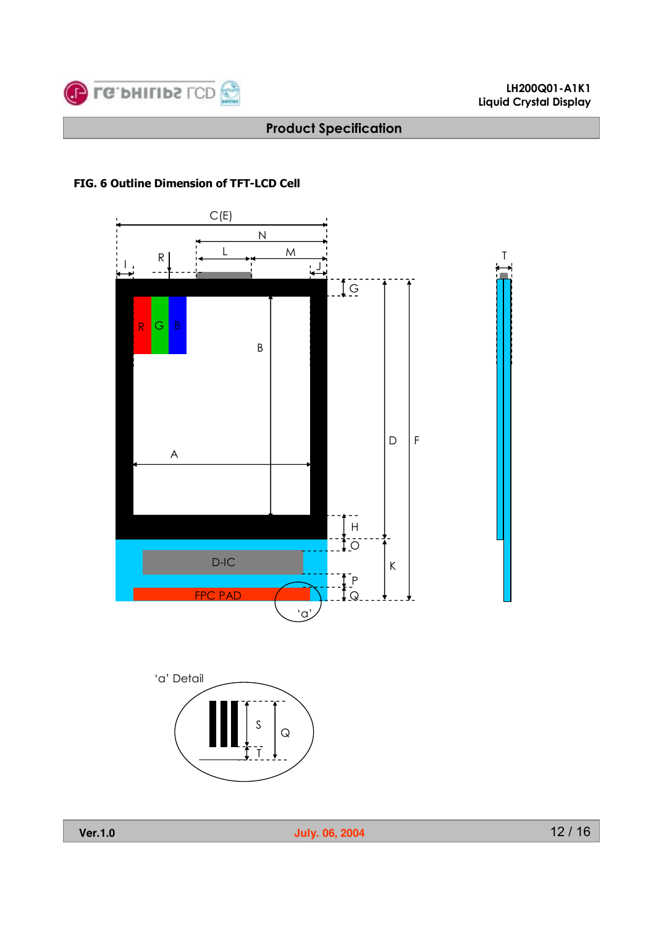

#### **LH200Q01-A1K1 Liquid Crystal Display**

## **Product Specification**

#### **FIG. 6 Outline Dimension of TFT-LCD Cell**





**Ver.1.0 July. 06, 2004**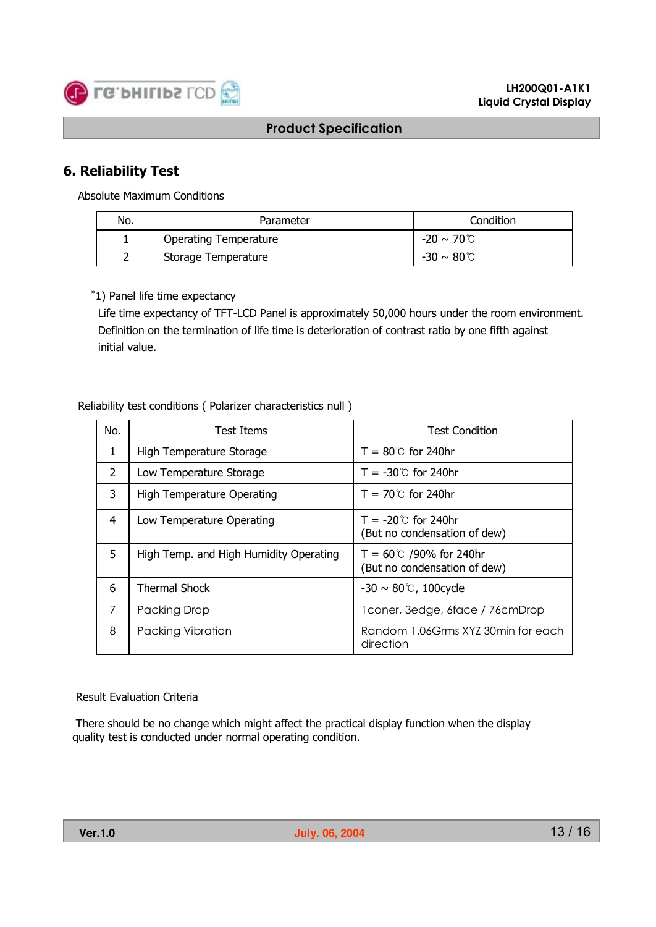

## **6. Reliability Test**

Absolute Maximum Conditions

| No. | Parameter                    | Condition               |
|-----|------------------------------|-------------------------|
|     | <b>Operating Temperature</b> | $-20 \sim 70^{\circ}$ C |
| ∽   | Storage Temperature          | $-30 \sim 80$ C         |

#### \*1) Panel life time expectancy

Life time expectancy of TFT-LCD Panel is approximately 50,000 hours under the room environment. Definition on the termination of life time is deterioration of contrast ratio by one fifth against initial value.

#### Reliability test conditions ( Polarizer characteristics null )

| No.            | Test Items                             | <b>Test Condition</b>                                           |
|----------------|----------------------------------------|-----------------------------------------------------------------|
| 1              | High Temperature Storage               | $T = 80^{\circ}$ for 240hr                                      |
| $\overline{2}$ | Low Temperature Storage                | $T = -30^{\circ}$ for 240hr                                     |
| 3              | <b>High Temperature Operating</b>      | $T = 70^{\circ}$ for 240hr                                      |
| 4              | Low Temperature Operating              | $T = -20^{\circ}$ for 240hr<br>(But no condensation of dew)     |
| 5              | High Temp. and High Humidity Operating | $T = 60^{\circ}$ /90% for 240hr<br>(But no condensation of dew) |
| 6              | Thermal Shock                          | $-30 \sim 80$ °C, 100 cycle                                     |
| 7              | Packing Drop                           | 1 coner, 3 edge, 6 face / 76 cm Drop                            |
| 8              | Packing Vibration                      | Random 1.06Grms XYZ 30min for each<br>direction                 |

#### Result Evaluation Criteria

There should be no change which might affect the practical display function when the display quality test is conducted under normal operating condition.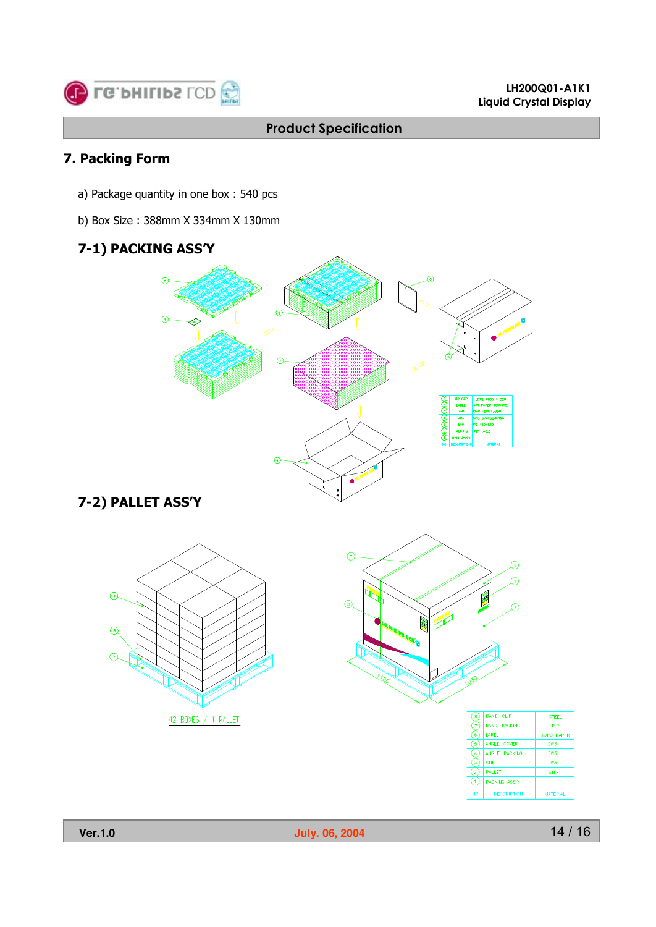

## **7. Packing Form**

- a) Package quantity in one box : 540 pcs
- b) Box Size : 388mm X 334mm X 130mm

# **7-1) PACKING ASS'Y**



# **7-2) PALLET ASS'Y**





| 8              | <b>BAND, CLIP</b>    | <b>STEEL</b>      |
|----------------|----------------------|-------------------|
| $\overline{7}$ | <b>BAND, PACKING</b> | P.P               |
| 6              | <b>LABEL</b>         | <b>YUPO PAPER</b> |
| 5              | ANGLE, COVER         | DW3               |
| $\overline{4}$ | ANGLE, PACKING       | DW3               |
| 3              | <b>SHEET</b>         | DW3               |
| $\mathbf{z}$   | <b>PALLET</b>        | <b>STEEL</b>      |
| $\cdot$ 1      | PACKING ASS'Y        |                   |
| <b>NO</b>      | <b>DESCRIPTION</b>   | <b>MATERIAL</b>   |



**Ver.1.0 July. 06, 2004**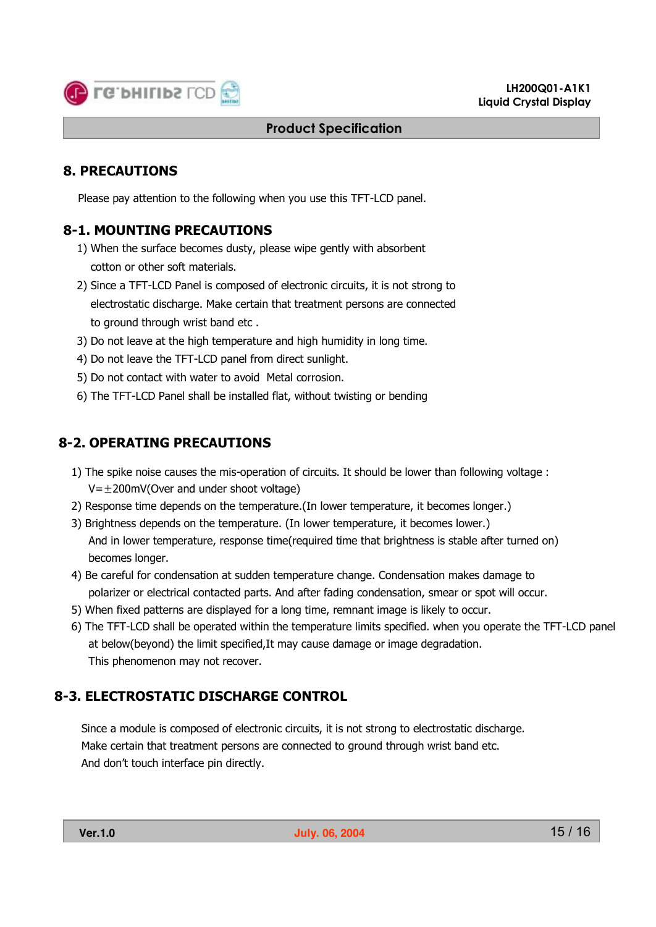

## **8. PRECAUTIONS**

Please pay attention to the following when you use this TFT-LCD panel.

## **8-1. MOUNTING PRECAUTIONS**

- 1) When the surface becomes dusty, please wipe gently with absorbent cotton or other soft materials.
- 2) Since a TFT-LCD Panel is composed of electronic circuits, it is not strong to electrostatic discharge. Make certain that treatment persons are connected to ground through wrist band etc .
- 3) Do not leave at the high temperature and high humidity in long time.
- 4) Do not leave the TFT-LCD panel from direct sunlight.
- 5) Do not contact with water to avoid Metal corrosion.
- 6) The TFT-LCD Panel shall be installed flat, without twisting or bending

## **8-2. OPERATING PRECAUTIONS**

- 1) The spike noise causes the mis-operation of circuits. It should be lower than following voltage :  $V=\pm 200$ mV(Over and under shoot voltage)
- 2) Response time depends on the temperature.(In lower temperature, it becomes longer.)
- 3) Brightness depends on the temperature. (In lower temperature, it becomes lower.) And in lower temperature, response time(required time that brightness is stable after turned on) becomes longer.
- 4) Be careful for condensation at sudden temperature change. Condensation makes damage to polarizer or electrical contacted parts. And after fading condensation, smear or spot will occur.
- 5) When fixed patterns are displayed for a long time, remnant image is likely to occur.
- 6) The TFT-LCD shall be operated within the temperature limits specified. when you operate the TFT-LCD panel at below(beyond) the limit specified,It may cause damage or image degradation. This phenomenon may not recover.

## **8-3. ELECTROSTATIC DISCHARGE CONTROL**

Since a module is composed of electronic circuits, it is not strong to electrostatic discharge. Make certain that treatment persons are connected to ground through wrist band etc. And don't touch interface pin directly.